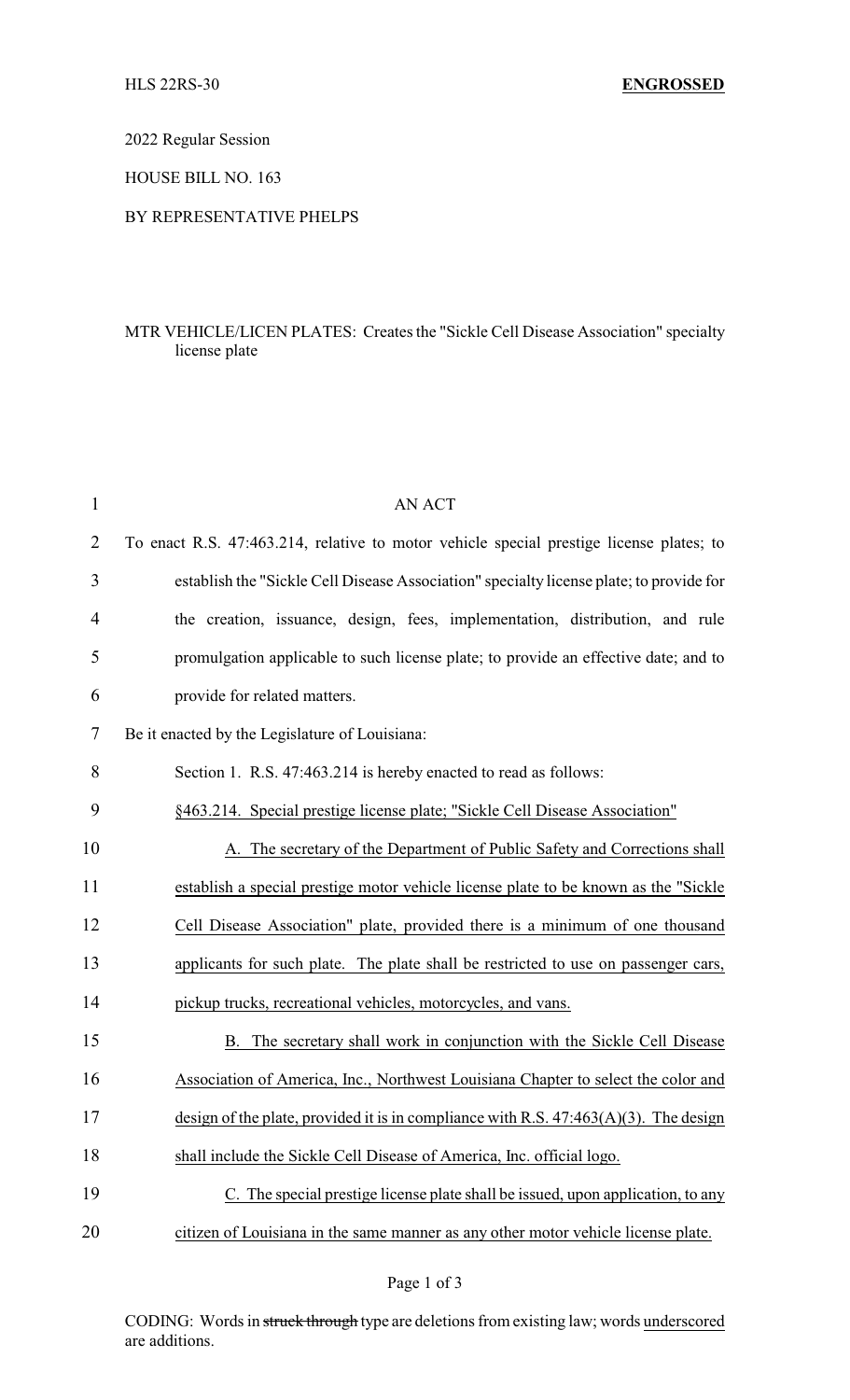2022 Regular Session

HOUSE BILL NO. 163

## BY REPRESENTATIVE PHELPS

## MTR VEHICLE/LICEN PLATES: Creates the "Sickle Cell Disease Association" specialty license plate

| 1              | <b>AN ACT</b>                                                                           |
|----------------|-----------------------------------------------------------------------------------------|
| $\overline{2}$ | To enact R.S. 47:463.214, relative to motor vehicle special prestige license plates; to |
| 3              | establish the "Sickle Cell Disease Association" specialty license plate; to provide for |
| 4              | the creation, issuance, design, fees, implementation, distribution, and rule            |
| 5              | promulgation applicable to such license plate; to provide an effective date; and to     |
| 6              | provide for related matters.                                                            |
| 7              | Be it enacted by the Legislature of Louisiana:                                          |
| 8              | Section 1. R.S. 47:463.214 is hereby enacted to read as follows:                        |
| 9              | §463.214. Special prestige license plate; "Sickle Cell Disease Association"             |
| 10             | A. The secretary of the Department of Public Safety and Corrections shall               |
| 11             | establish a special prestige motor vehicle license plate to be known as the "Sickle"    |
| 12             | Cell Disease Association" plate, provided there is a minimum of one thousand            |
| 13             | applicants for such plate. The plate shall be restricted to use on passenger cars,      |
| 14             | pickup trucks, recreational vehicles, motorcycles, and vans.                            |
| 15             | The secretary shall work in conjunction with the Sickle Cell Disease<br>В.              |
| 16             | Association of America, Inc., Northwest Louisiana Chapter to select the color and       |
| 17             | design of the plate, provided it is in compliance with R.S. $47:463(A)(3)$ . The design |
| 18             | shall include the Sickle Cell Disease of America, Inc. official logo.                   |
| 19             | C. The special prestige license plate shall be issued, upon application, to any         |
| 20             | citizen of Louisiana in the same manner as any other motor vehicle license plate.       |

Page 1 of 3

CODING: Words in struck through type are deletions from existing law; words underscored are additions.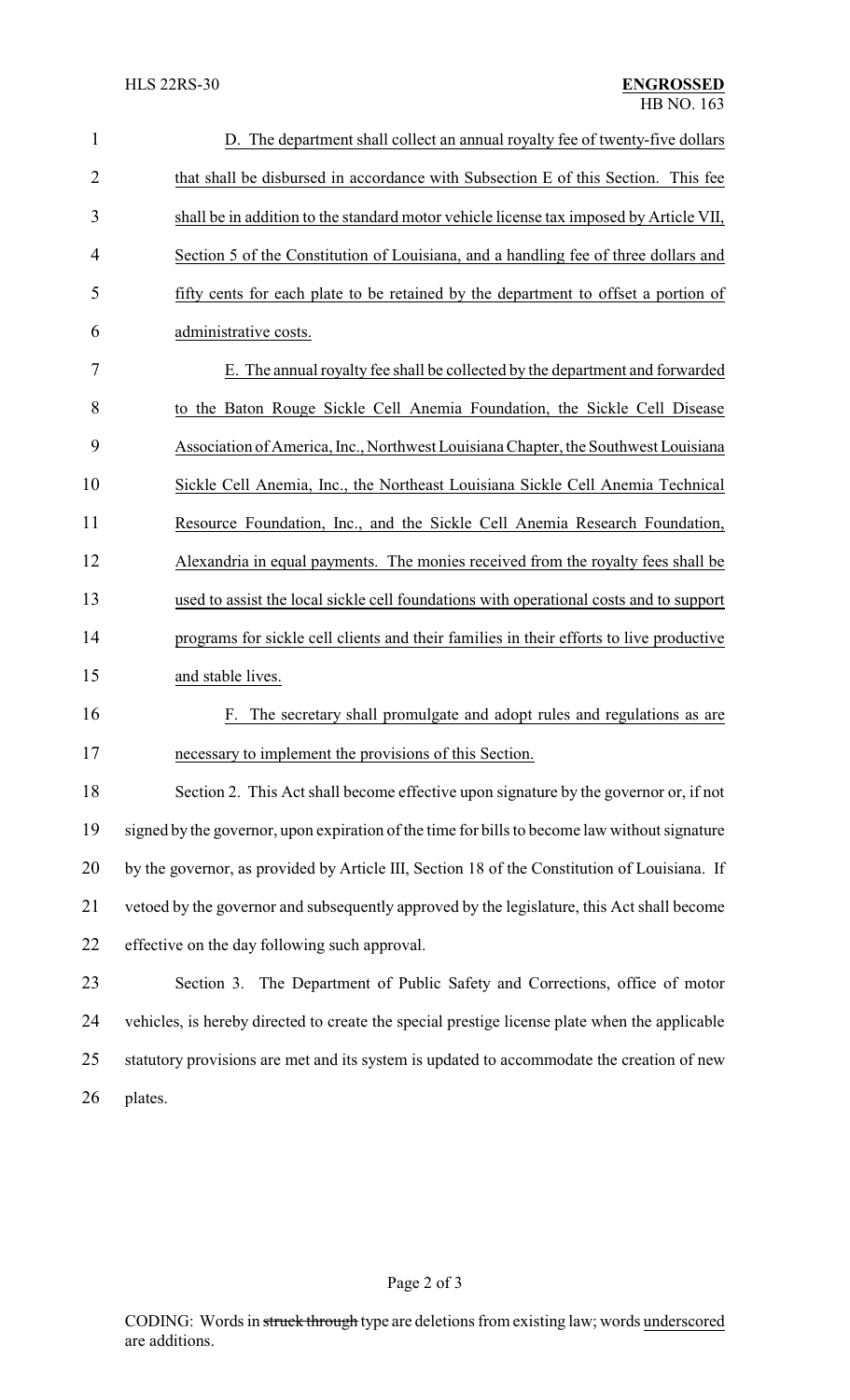| $\mathbf{1}$   | D. The department shall collect an annual royalty fee of twenty-five dollars                  |  |  |
|----------------|-----------------------------------------------------------------------------------------------|--|--|
| $\overline{2}$ | that shall be disbursed in accordance with Subsection E of this Section. This fee             |  |  |
| 3              | shall be in addition to the standard motor vehicle license tax imposed by Article VII,        |  |  |
| $\overline{4}$ | Section 5 of the Constitution of Louisiana, and a handling fee of three dollars and           |  |  |
| 5              | fifty cents for each plate to be retained by the department to offset a portion of            |  |  |
| 6              | administrative costs.                                                                         |  |  |
| 7              | E. The annual royalty fee shall be collected by the department and forwarded                  |  |  |
| 8              | to the Baton Rouge Sickle Cell Anemia Foundation, the Sickle Cell Disease                     |  |  |
| 9              | Association of America, Inc., Northwest Louisiana Chapter, the Southwest Louisiana            |  |  |
| 10             | Sickle Cell Anemia, Inc., the Northeast Louisiana Sickle Cell Anemia Technical                |  |  |
| 11             | Resource Foundation, Inc., and the Sickle Cell Anemia Research Foundation,                    |  |  |
| 12             | Alexandria in equal payments. The monies received from the royalty fees shall be              |  |  |
| 13             | used to assist the local sickle cell foundations with operational costs and to support        |  |  |
| 14             | programs for sickle cell clients and their families in their efforts to live productive       |  |  |
| 15             | and stable lives.                                                                             |  |  |
| 16             | The secretary shall promulgate and adopt rules and regulations as are<br>F.                   |  |  |
| 17             | necessary to implement the provisions of this Section.                                        |  |  |
| 18             | Section 2. This Act shall become effective upon signature by the governor or, if not          |  |  |
| 19             | signed by the governor, upon expiration of the time for bills to become law without signature |  |  |
| 20             | by the governor, as provided by Article III, Section 18 of the Constitution of Louisiana. If  |  |  |
| 21             | vetoed by the governor and subsequently approved by the legislature, this Act shall become    |  |  |
| 22             | effective on the day following such approval.                                                 |  |  |
| 23             | Section 3. The Department of Public Safety and Corrections, office of motor                   |  |  |
| 24             | vehicles, is hereby directed to create the special prestige license plate when the applicable |  |  |
| 25             | statutory provisions are met and its system is updated to accommodate the creation of new     |  |  |
| 26             | plates.                                                                                       |  |  |